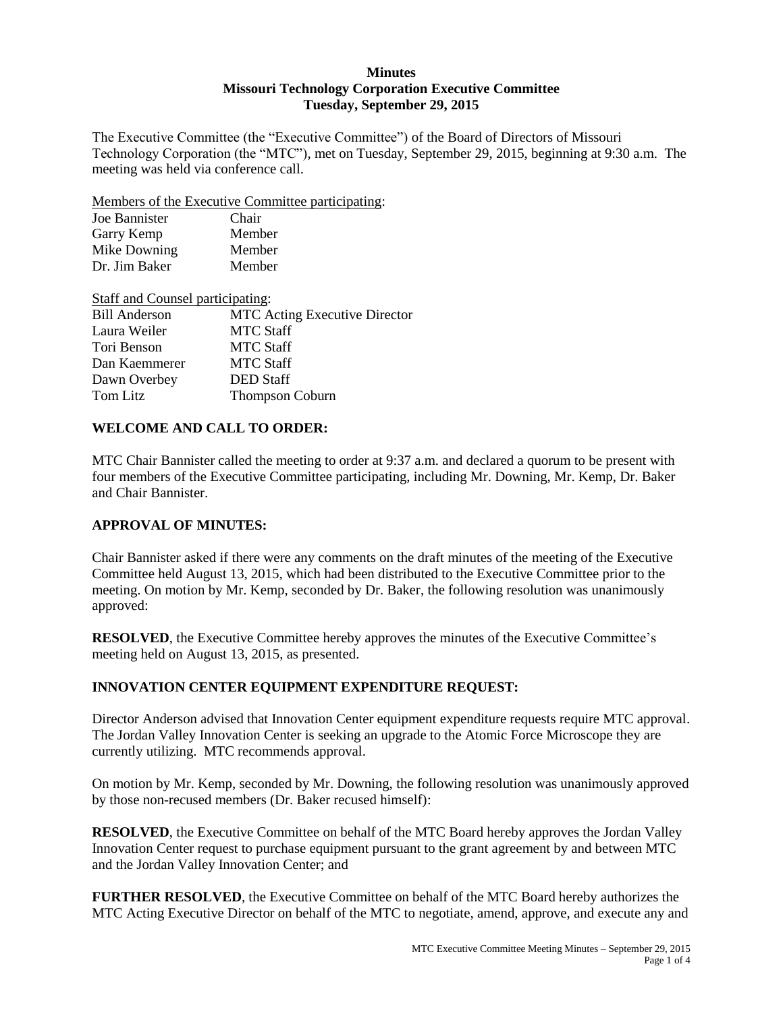### **Minutes Missouri Technology Corporation Executive Committee Tuesday, September 29, 2015**

The Executive Committee (the "Executive Committee") of the Board of Directors of Missouri Technology Corporation (the "MTC"), met on Tuesday, September 29, 2015, beginning at 9:30 a.m. The meeting was held via conference call.

Members of the Executive Committee participating:

| Joe Bannister | Chair  |
|---------------|--------|
| Garry Kemp    | Member |
| Mike Downing  | Member |
| Dr. Jim Baker | Member |

| Staff and Counsel participating: |                                      |
|----------------------------------|--------------------------------------|
| <b>Bill Anderson</b>             | <b>MTC</b> Acting Executive Director |
| Laura Weiler                     | <b>MTC Staff</b>                     |
| Tori Benson                      | <b>MTC Staff</b>                     |
| Dan Kaemmerer                    | <b>MTC Staff</b>                     |
| Dawn Overbey                     | <b>DED</b> Staff                     |
| Tom Litz                         | <b>Thompson Coburn</b>               |

## **WELCOME AND CALL TO ORDER:**

MTC Chair Bannister called the meeting to order at 9:37 a.m. and declared a quorum to be present with four members of the Executive Committee participating, including Mr. Downing, Mr. Kemp, Dr. Baker and Chair Bannister.

### **APPROVAL OF MINUTES:**

Chair Bannister asked if there were any comments on the draft minutes of the meeting of the Executive Committee held August 13, 2015, which had been distributed to the Executive Committee prior to the meeting. On motion by Mr. Kemp, seconded by Dr. Baker, the following resolution was unanimously approved:

**RESOLVED**, the Executive Committee hereby approves the minutes of the Executive Committee's meeting held on August 13, 2015, as presented.

## **INNOVATION CENTER EQUIPMENT EXPENDITURE REQUEST:**

Director Anderson advised that Innovation Center equipment expenditure requests require MTC approval. The Jordan Valley Innovation Center is seeking an upgrade to the Atomic Force Microscope they are currently utilizing. MTC recommends approval.

On motion by Mr. Kemp, seconded by Mr. Downing, the following resolution was unanimously approved by those non-recused members (Dr. Baker recused himself):

**RESOLVED**, the Executive Committee on behalf of the MTC Board hereby approves the Jordan Valley Innovation Center request to purchase equipment pursuant to the grant agreement by and between MTC and the Jordan Valley Innovation Center; and

**FURTHER RESOLVED**, the Executive Committee on behalf of the MTC Board hereby authorizes the MTC Acting Executive Director on behalf of the MTC to negotiate, amend, approve, and execute any and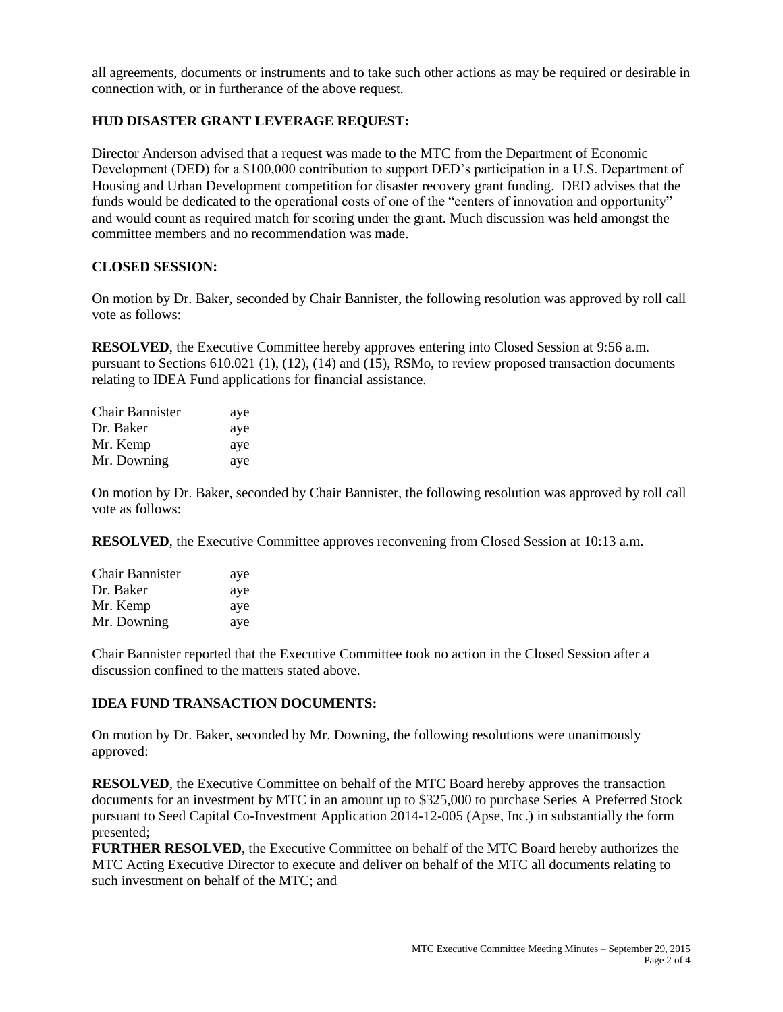all agreements, documents or instruments and to take such other actions as may be required or desirable in connection with, or in furtherance of the above request.

## **HUD DISASTER GRANT LEVERAGE REQUEST:**

Director Anderson advised that a request was made to the MTC from the Department of Economic Development (DED) for a \$100,000 contribution to support DED's participation in a U.S. Department of Housing and Urban Development competition for disaster recovery grant funding. DED advises that the funds would be dedicated to the operational costs of one of the "centers of innovation and opportunity" and would count as required match for scoring under the grant. Much discussion was held amongst the committee members and no recommendation was made.

## **CLOSED SESSION:**

On motion by Dr. Baker, seconded by Chair Bannister, the following resolution was approved by roll call vote as follows:

**RESOLVED**, the Executive Committee hereby approves entering into Closed Session at 9:56 a.m. pursuant to Sections 610.021 (1), (12), (14) and (15), RSMo, to review proposed transaction documents relating to IDEA Fund applications for financial assistance.

| Chair Bannister | aye |
|-----------------|-----|
| Dr. Baker       | aye |
| Mr. Kemp        | aye |
| Mr. Downing     | aye |

On motion by Dr. Baker, seconded by Chair Bannister, the following resolution was approved by roll call vote as follows:

**RESOLVED**, the Executive Committee approves reconvening from Closed Session at 10:13 a.m.

| <b>Chair Bannister</b> | aye |
|------------------------|-----|
| Dr. Baker              | aye |
| Mr. Kemp               | aye |
| Mr. Downing            | aye |

Chair Bannister reported that the Executive Committee took no action in the Closed Session after a discussion confined to the matters stated above.

### **IDEA FUND TRANSACTION DOCUMENTS:**

On motion by Dr. Baker, seconded by Mr. Downing, the following resolutions were unanimously approved:

**RESOLVED**, the Executive Committee on behalf of the MTC Board hereby approves the transaction documents for an investment by MTC in an amount up to \$325,000 to purchase Series A Preferred Stock pursuant to Seed Capital Co-Investment Application 2014-12-005 (Apse, Inc.) in substantially the form presented;

**FURTHER RESOLVED**, the Executive Committee on behalf of the MTC Board hereby authorizes the MTC Acting Executive Director to execute and deliver on behalf of the MTC all documents relating to such investment on behalf of the MTC; and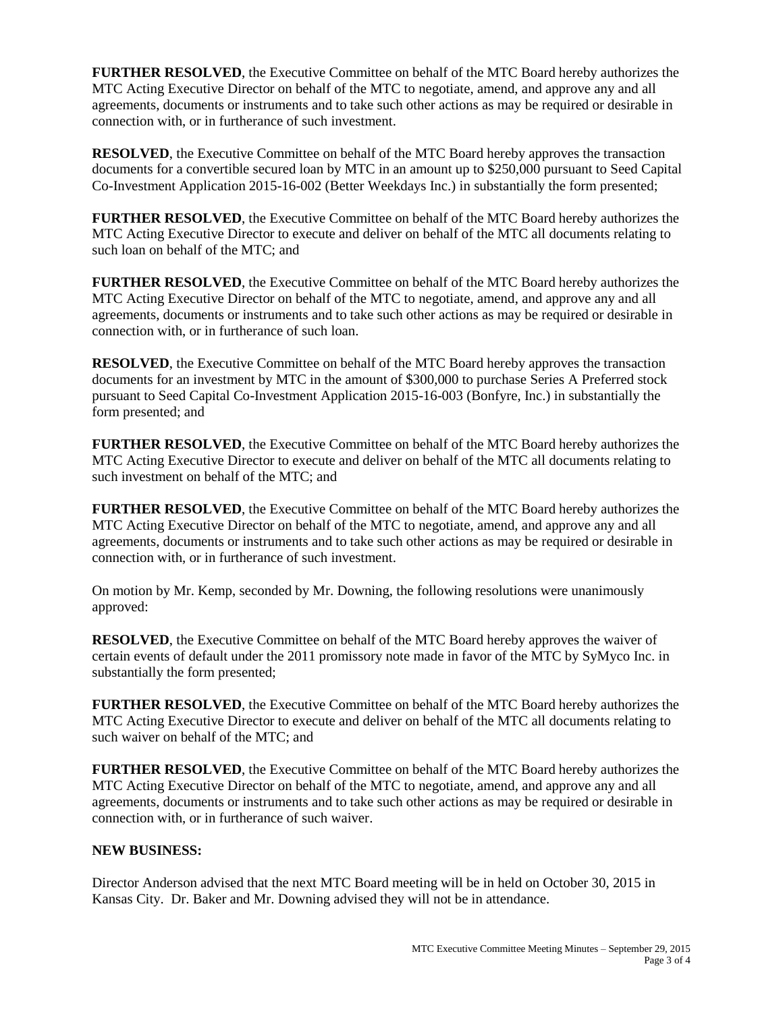**FURTHER RESOLVED**, the Executive Committee on behalf of the MTC Board hereby authorizes the MTC Acting Executive Director on behalf of the MTC to negotiate, amend, and approve any and all agreements, documents or instruments and to take such other actions as may be required or desirable in connection with, or in furtherance of such investment.

**RESOLVED**, the Executive Committee on behalf of the MTC Board hereby approves the transaction documents for a convertible secured loan by MTC in an amount up to \$250,000 pursuant to Seed Capital Co-Investment Application 2015-16-002 (Better Weekdays Inc.) in substantially the form presented;

**FURTHER RESOLVED**, the Executive Committee on behalf of the MTC Board hereby authorizes the MTC Acting Executive Director to execute and deliver on behalf of the MTC all documents relating to such loan on behalf of the MTC; and

**FURTHER RESOLVED**, the Executive Committee on behalf of the MTC Board hereby authorizes the MTC Acting Executive Director on behalf of the MTC to negotiate, amend, and approve any and all agreements, documents or instruments and to take such other actions as may be required or desirable in connection with, or in furtherance of such loan.

**RESOLVED**, the Executive Committee on behalf of the MTC Board hereby approves the transaction documents for an investment by MTC in the amount of \$300,000 to purchase Series A Preferred stock pursuant to Seed Capital Co-Investment Application 2015-16-003 (Bonfyre, Inc.) in substantially the form presented; and

**FURTHER RESOLVED**, the Executive Committee on behalf of the MTC Board hereby authorizes the MTC Acting Executive Director to execute and deliver on behalf of the MTC all documents relating to such investment on behalf of the MTC; and

**FURTHER RESOLVED**, the Executive Committee on behalf of the MTC Board hereby authorizes the MTC Acting Executive Director on behalf of the MTC to negotiate, amend, and approve any and all agreements, documents or instruments and to take such other actions as may be required or desirable in connection with, or in furtherance of such investment.

On motion by Mr. Kemp, seconded by Mr. Downing, the following resolutions were unanimously approved:

**RESOLVED**, the Executive Committee on behalf of the MTC Board hereby approves the waiver of certain events of default under the 2011 promissory note made in favor of the MTC by SyMyco Inc. in substantially the form presented;

**FURTHER RESOLVED**, the Executive Committee on behalf of the MTC Board hereby authorizes the MTC Acting Executive Director to execute and deliver on behalf of the MTC all documents relating to such waiver on behalf of the MTC; and

**FURTHER RESOLVED**, the Executive Committee on behalf of the MTC Board hereby authorizes the MTC Acting Executive Director on behalf of the MTC to negotiate, amend, and approve any and all agreements, documents or instruments and to take such other actions as may be required or desirable in connection with, or in furtherance of such waiver.

### **NEW BUSINESS:**

Director Anderson advised that the next MTC Board meeting will be in held on October 30, 2015 in Kansas City. Dr. Baker and Mr. Downing advised they will not be in attendance.